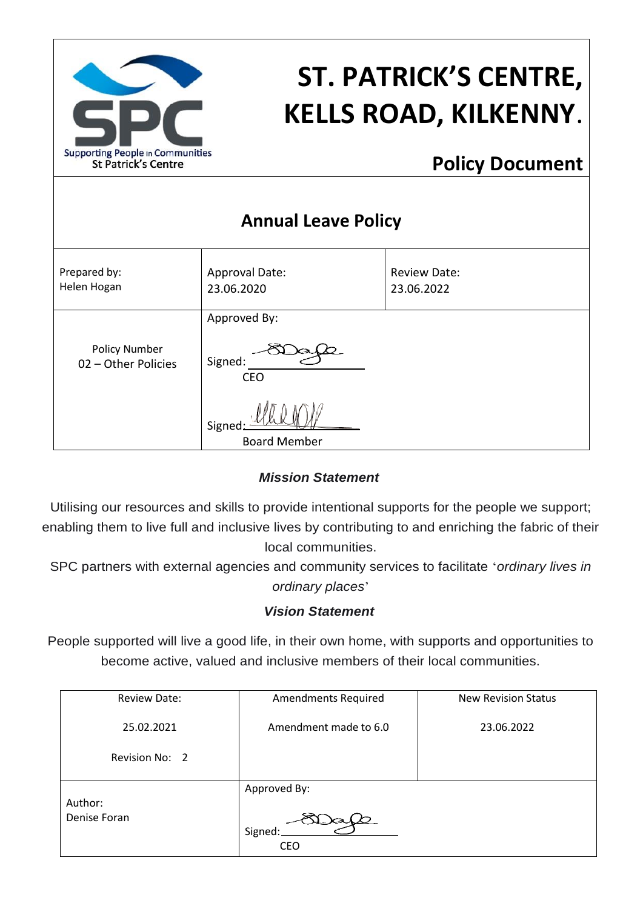

# **ST. PATRICK'S CENTRE, KELLS ROAD, KILKENNY**.

## **Policy Document**

| <b>Annual Leave Policy</b>                  |                                       |                                   |  |  |  |
|---------------------------------------------|---------------------------------------|-----------------------------------|--|--|--|
| Prepared by:<br>Helen Hogan                 | Approval Date:<br>23.06.2020          | <b>Review Date:</b><br>23.06.2022 |  |  |  |
| <b>Policy Number</b><br>02 - Other Policies | Approved By:<br>Signed:<br><b>CEO</b> |                                   |  |  |  |
|                                             | Signed<br><b>Board Member</b>         |                                   |  |  |  |

#### *Mission Statement*

Utilising our resources and skills to provide intentional supports for the people we support; enabling them to live full and inclusive lives by contributing to and enriching the fabric of their local communities.

SPC partners with external agencies and community services to facilitate '*ordinary lives in ordinary places*'

#### *Vision Statement*

People supported will live a good life, in their own home, with supports and opportunities to become active, valued and inclusive members of their local communities.

| Review Date:            | <b>Amendments Required</b>            | <b>New Revision Status</b> |
|-------------------------|---------------------------------------|----------------------------|
| 25.02.2021              | Amendment made to 6.0                 | 23.06.2022                 |
| Revision No: 2          |                                       |                            |
| Author:<br>Denise Foran | Approved By:<br>Signed:<br><b>CEO</b> |                            |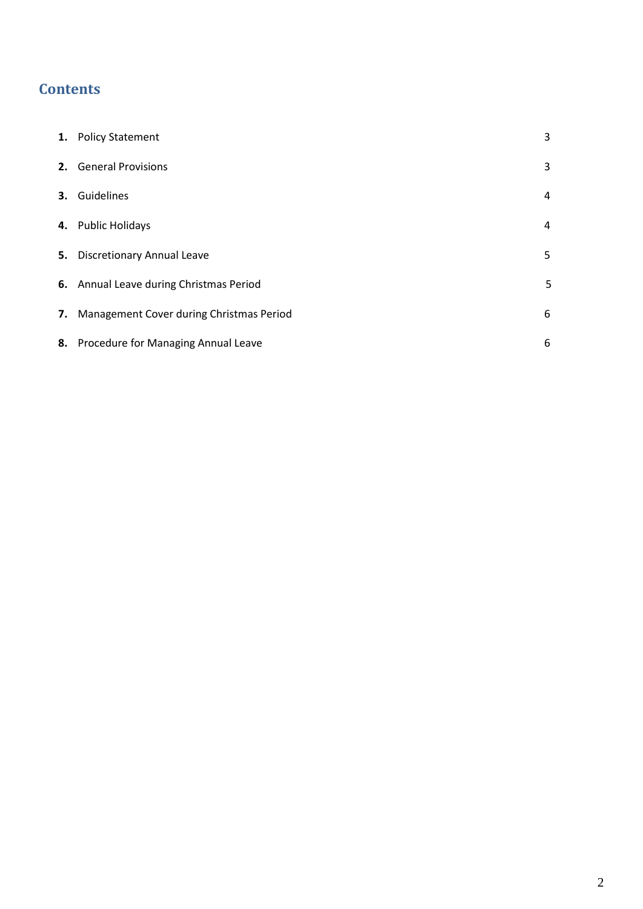### **Contents**

| 1. Policy Statement                         | 3 |
|---------------------------------------------|---|
| 2. General Provisions                       | 3 |
| 3. Guidelines                               | 4 |
| 4. Public Holidays                          | 4 |
| 5. Discretionary Annual Leave               | 5 |
| 6. Annual Leave during Christmas Period     | 5 |
| 7. Management Cover during Christmas Period | 6 |
| 8. Procedure for Managing Annual Leave      | 6 |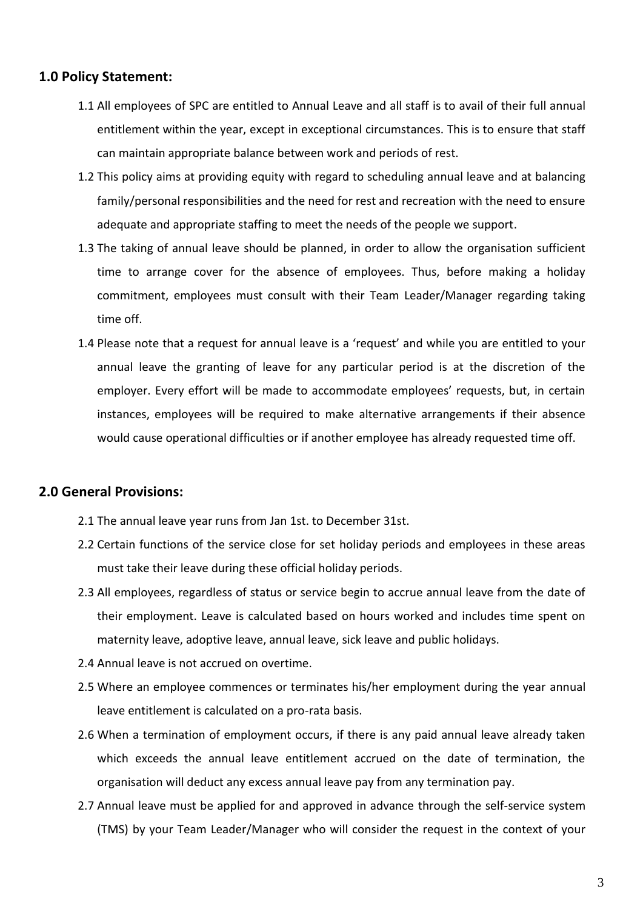#### **1.0 Policy Statement:**

- 1.1 All employees of SPC are entitled to Annual Leave and all staff is to avail of their full annual entitlement within the year, except in exceptional circumstances. This is to ensure that staff can maintain appropriate balance between work and periods of rest.
- 1.2 This policy aims at providing equity with regard to scheduling annual leave and at balancing family/personal responsibilities and the need for rest and recreation with the need to ensure adequate and appropriate staffing to meet the needs of the people we support.
- 1.3 The taking of annual leave should be planned, in order to allow the organisation sufficient time to arrange cover for the absence of employees. Thus, before making a holiday commitment, employees must consult with their Team Leader/Manager regarding taking time off.
- 1.4 Please note that a request for annual leave is a 'request' and while you are entitled to your annual leave the granting of leave for any particular period is at the discretion of the employer. Every effort will be made to accommodate employees' requests, but, in certain instances, employees will be required to make alternative arrangements if their absence would cause operational difficulties or if another employee has already requested time off.

#### **2.0 General Provisions:**

- 2.1 The annual leave year runs from Jan 1st. to December 31st.
- 2.2 Certain functions of the service close for set holiday periods and employees in these areas must take their leave during these official holiday periods.
- 2.3 All employees, regardless of status or service begin to accrue annual leave from the date of their employment. Leave is calculated based on hours worked and includes time spent on maternity leave, adoptive leave, annual leave, sick leave and public holidays.
- 2.4 Annual leave is not accrued on overtime.
- 2.5 Where an employee commences or terminates his/her employment during the year annual leave entitlement is calculated on a pro-rata basis.
- 2.6 When a termination of employment occurs, if there is any paid annual leave already taken which exceeds the annual leave entitlement accrued on the date of termination, the organisation will deduct any excess annual leave pay from any termination pay.
- 2.7 Annual leave must be applied for and approved in advance through the self-service system (TMS) by your Team Leader/Manager who will consider the request in the context of your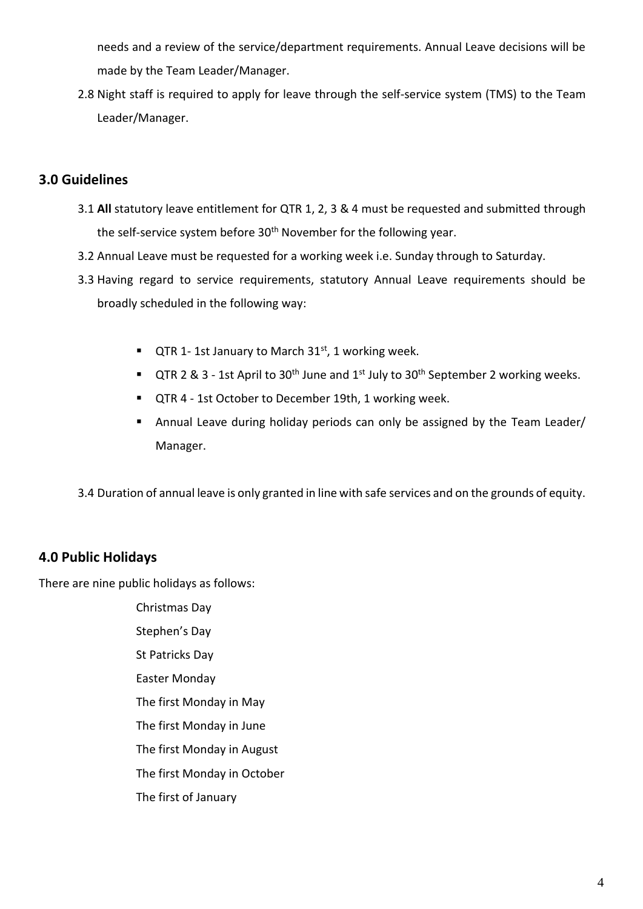needs and a review of the service/department requirements. Annual Leave decisions will be made by the Team Leader/Manager.

2.8 Night staff is required to apply for leave through the self-service system (TMS) to the Team Leader/Manager.

#### **3.0 Guidelines**

- 3.1 **All** statutory leave entitlement for QTR 1, 2, 3 & 4 must be requested and submitted through the self-service system before 30<sup>th</sup> November for the following year.
- 3.2 Annual Leave must be requested for a working week i.e. Sunday through to Saturday.
- 3.3 Having regard to service requirements, statutory Annual Leave requirements should be broadly scheduled in the following way:
	- QTR 1-1st January to March 31<sup>st</sup>, 1 working week.
	- **•** QTR 2 & 3 1st April to 30<sup>th</sup> June and 1<sup>st</sup> July to 30<sup>th</sup> September 2 working weeks.
	- QTR 4 1st October to December 19th, 1 working week.
	- Annual Leave during holiday periods can only be assigned by the Team Leader/ Manager.

3.4 Duration of annual leave is only granted in line with safe services and on the grounds of equity.

#### **4.0 Public Holidays**

There are nine public holidays as follows:

Christmas Day Stephen's Day St Patricks Day Easter Monday The first Monday in May The first Monday in June The first Monday in August The first Monday in October The first of January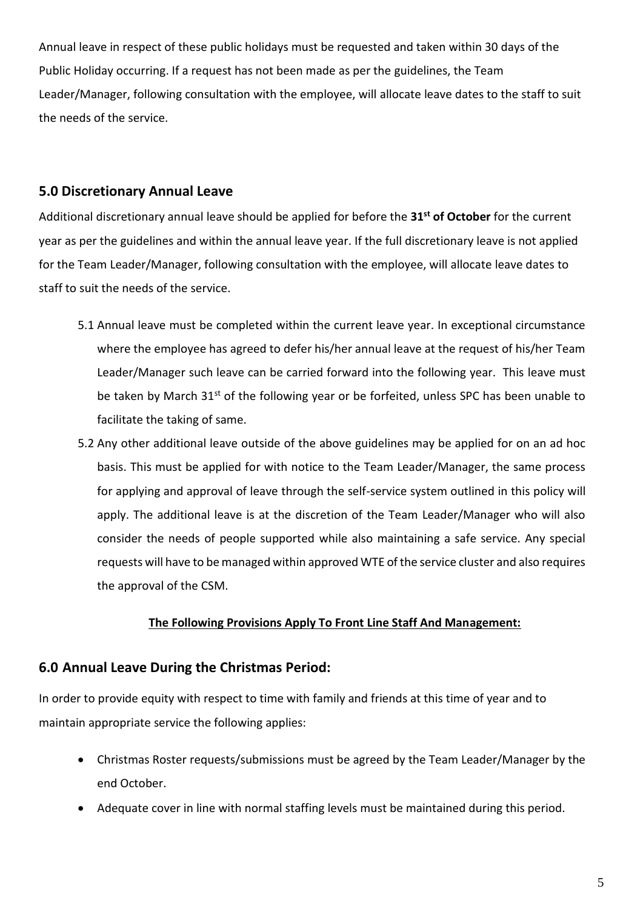Annual leave in respect of these public holidays must be requested and taken within 30 days of the Public Holiday occurring. If a request has not been made as per the guidelines, the Team Leader/Manager, following consultation with the employee, will allocate leave dates to the staff to suit the needs of the service.

#### **5.0 Discretionary Annual Leave**

Additional discretionary annual leave should be applied for before the **31st of October** for the current year as per the guidelines and within the annual leave year. If the full discretionary leave is not applied for the Team Leader/Manager, following consultation with the employee, will allocate leave dates to staff to suit the needs of the service.

- 5.1 Annual leave must be completed within the current leave year. In exceptional circumstance where the employee has agreed to defer his/her annual leave at the request of his/her Team Leader/Manager such leave can be carried forward into the following year. This leave must be taken by March 31<sup>st</sup> of the following year or be forfeited, unless SPC has been unable to facilitate the taking of same.
- 5.2 Any other additional leave outside of the above guidelines may be applied for on an ad hoc basis. This must be applied for with notice to the Team Leader/Manager, the same process for applying and approval of leave through the self-service system outlined in this policy will apply. The additional leave is at the discretion of the Team Leader/Manager who will also consider the needs of people supported while also maintaining a safe service. Any special requests will have to be managed within approved WTE of the service cluster and also requires the approval of the CSM.

#### **The Following Provisions Apply To Front Line Staff And Management:**

#### **6.0 Annual Leave During the Christmas Period:**

In order to provide equity with respect to time with family and friends at this time of year and to maintain appropriate service the following applies:

- Christmas Roster requests/submissions must be agreed by the Team Leader/Manager by the end October.
- Adequate cover in line with normal staffing levels must be maintained during this period.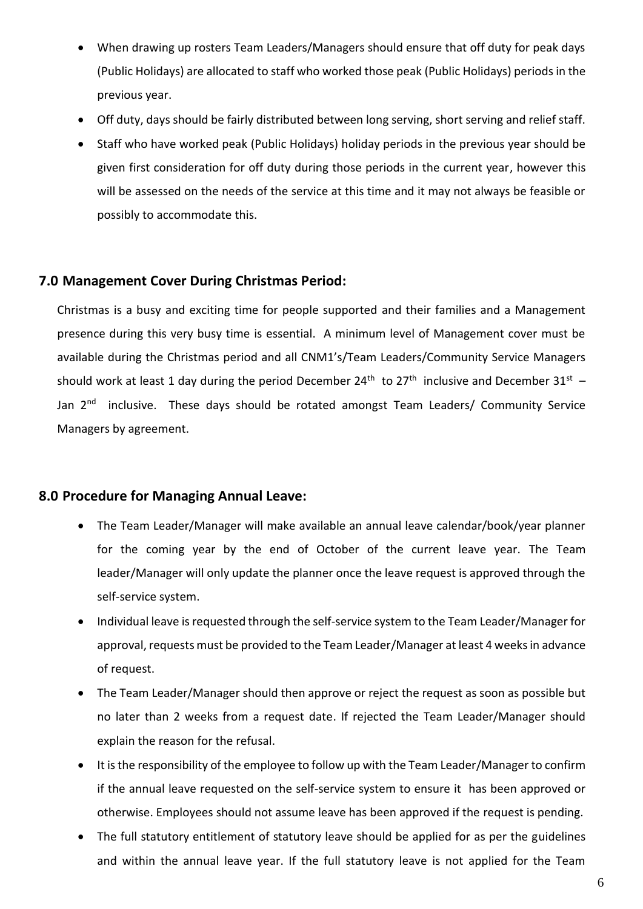- When drawing up rosters Team Leaders/Managers should ensure that off duty for peak days (Public Holidays) are allocated to staff who worked those peak (Public Holidays) periods in the previous year.
- Off duty, days should be fairly distributed between long serving, short serving and relief staff.
- Staff who have worked peak (Public Holidays) holiday periods in the previous year should be given first consideration for off duty during those periods in the current year, however this will be assessed on the needs of the service at this time and it may not always be feasible or possibly to accommodate this.

#### **7.0 Management Cover During Christmas Period:**

Christmas is a busy and exciting time for people supported and their families and a Management presence during this very busy time is essential. A minimum level of Management cover must be available during the Christmas period and all CNM1's/Team Leaders/Community Service Managers should work at least 1 day during the period December 24<sup>th</sup> to 27<sup>th</sup> inclusive and December 31<sup>st</sup> – Jan 2<sup>nd</sup> inclusive. These days should be rotated amongst Team Leaders/ Community Service Managers by agreement.

#### **8.0 Procedure for Managing Annual Leave:**

- The Team Leader/Manager will make available an annual leave calendar/book/year planner for the coming year by the end of October of the current leave year. The Team leader/Manager will only update the planner once the leave request is approved through the self-service system.
- Individual leave is requested through the self-service system to the Team Leader/Manager for approval, requests must be provided to the Team Leader/Manager at least 4 weeks in advance of request.
- The Team Leader/Manager should then approve or reject the request as soon as possible but no later than 2 weeks from a request date. If rejected the Team Leader/Manager should explain the reason for the refusal.
- It is the responsibility of the employee to follow up with the Team Leader/Manager to confirm if the annual leave requested on the self-service system to ensure it has been approved or otherwise. Employees should not assume leave has been approved if the request is pending.
- The full statutory entitlement of statutory leave should be applied for as per the guidelines and within the annual leave year. If the full statutory leave is not applied for the Team